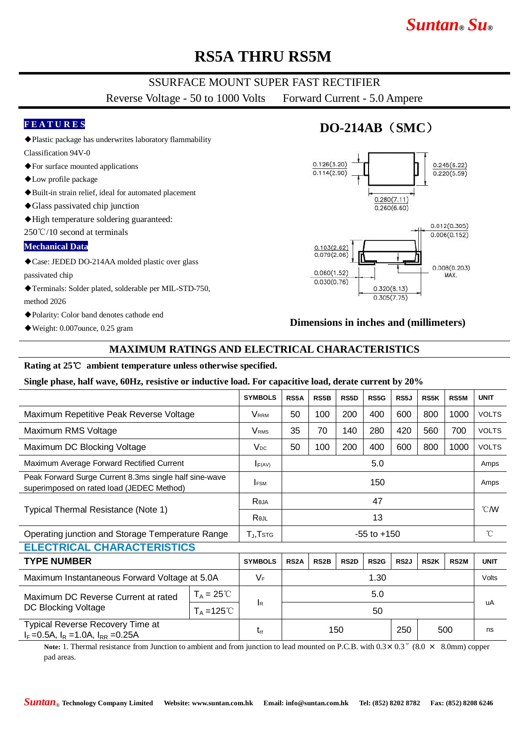# *Suntan***®** *Su***®**

# **RS5A THRU RS5M**

## SSURFACE MOUNT SUPER FAST RECTIFIER

Reverse Voltage - 50 to 1000 Volts Forward Current - 5.0 Ampere

### **F E A T U R E S**

- ◆Plastic package has underwrites laboratory flammability
- Classification 94V-0 ◆For surface mounted applications
- ◆Low profile package
- ◆Built-in strain relief, ideal for automated placement
- ◆Glass passivated chip junction
- ◆High temperature soldering guaranteed:

250℃/10 second at terminals

#### **Mechanical Data**

- ◆Case: JEDED DO-214AA molded plastic over glass passivated chip
- ◆Terminals: Solder plated, solderable per MIL-STD-750, method 2026
- ◆Polarity: Color band denotes cathode end
- ◆Weight: 0.007ounce, 0.25 gram

## **DO-214AB**(**SMC**)



### **Dimensions in inches and (millimeters)**

## **MAXIMUM RATINGS AND ELECTRICAL CHARACTERISTICS**

#### **Rating at 25**℃ **ambient temperature unless otherwise specified.**

#### **Single phase, half wave, 60Hz, resistive or inductive load. For capacitive load, derate current by 20%**

|                                                                                                     |                      | <b>SYMBOLS</b>               | RS5A              | RS5B              | RS5D              | RS5G              | RS5J              | RS5K        | RS5M              | <b>UNIT</b>    |
|-----------------------------------------------------------------------------------------------------|----------------------|------------------------------|-------------------|-------------------|-------------------|-------------------|-------------------|-------------|-------------------|----------------|
| Maximum Repetitive Peak Reverse Voltage                                                             |                      | <b>V</b> <sub>RRM</sub>      | 50                | 100               | 200               | 400               | 600               | 800         | 1000              | <b>VOLTS</b>   |
| Maximum RMS Voltage                                                                                 |                      | <b>V</b> <sub>RMS</sub>      | 35                | 70                | 140               | 280               | 420               | 560         | 700               | <b>VOLTS</b>   |
| Maximum DC Blocking Voltage                                                                         |                      | $V_{DC}$                     | 50                | 100               | 200               | 400               | 600               | 800         | 1000              | <b>VOLTS</b>   |
| Maximum Average Forward Rectified Current                                                           |                      | F(AV)                        | 5.0               |                   |                   |                   |                   |             |                   | Amps           |
| Peak Forward Surge Current 8.3ms single half sine-wave<br>superimposed on rated load (JEDEC Method) |                      | <b>IFSM</b>                  | 150               |                   |                   |                   |                   |             |                   | Amps           |
| Typical Thermal Resistance (Note 1)                                                                 |                      | Reja                         | 47                |                   |                   |                   |                   |             |                   | $^{\circ}$ CMV |
|                                                                                                     |                      | Rejl                         | 13                |                   |                   |                   |                   |             |                   |                |
| Operating junction and Storage Temperature Range                                                    |                      | $T_{J}$ , $T$ <sub>STG</sub> | $-55$ to $+150$   |                   |                   |                   |                   |             |                   | $^{\circ}$ C   |
| <b>ELECTRICAL CHARACTERISTICS</b>                                                                   |                      |                              |                   |                   |                   |                   |                   |             |                   |                |
| <b>TYPE NUMBER</b>                                                                                  |                      | <b>SYMBOLS</b>               | RS <sub>2</sub> A | RS <sub>2</sub> B | RS <sub>2</sub> D | RS <sub>2</sub> G | RS <sub>2</sub> J | <b>RS2K</b> | RS <sub>2</sub> M | <b>UNIT</b>    |
| Maximum Instantaneous Forward Voltage at 5.0A                                                       |                      | $V_F$                        | 1.30              |                   |                   |                   |                   |             |                   | Volts          |
| Maximum DC Reverse Current at rated<br>DC Blocking Voltage                                          | $T_A = 25^{\circ}C$  |                              |                   | 5.0               |                   |                   |                   |             |                   |                |
|                                                                                                     | $T_A = 125^{\circ}C$ | <b>I</b> R                   | 50                |                   |                   |                   |                   |             |                   | uA             |
| Typical Reverse Recovery Time at<br>$I_F = 0.5A$ , $I_R = 1.0A$ , $I_{RR} = 0.25A$                  |                      | $t_{rr}$                     | 150<br>250<br>500 |                   |                   |                   |                   |             | ns                |                |

Note: 1. Thermal resistance from Junction to ambient and from junction to lead mounted on P.C.B. with  $0.3 \times 0.3$ <sup>"</sup> (8.0  $\times$  8.0mm) copper pad areas.